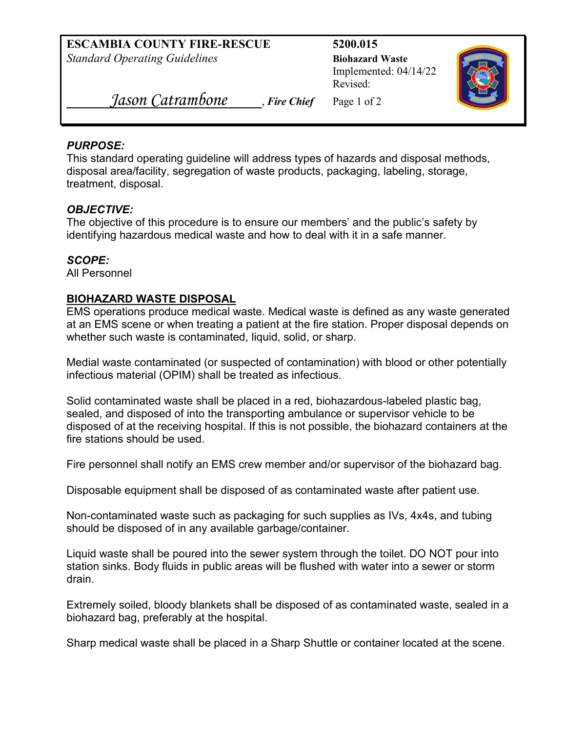**ESCAMBIA COUNTY FIRE-RESCUE 5200.015**  *Standard Operating Guidelines* **Biohazard Waste** 

Implemented: 04/14/22 Revised:



*Jason Catrambone* , *Fire Chief* Page 1 of 2

#### *PURPOSE:*

 This standard operating guideline will address types of hazards and disposal methods, disposal area/facility, segregation of waste products, packaging, labeling, storage, treatment, disposal.

## *OBJECTIVE:*

The objective of this procedure is to ensure our members' and the public's safety by identifying hazardous medical waste and how to deal with it in a safe manner.

## *SCOPE:*

All Personnel

# **BIOHAZARD WASTE DISPOSAL**

EMS operations produce medical waste. Medical waste is defined as any waste generated at an EMS scene or when treating a patient at the fire station. Proper disposal depends on whether such waste is contaminated, liquid, solid, or sharp.

 infectious material (OPIM) shall be treated as infectious. Medial waste contaminated (or suspected of contamination) with blood or other potentially

 disposed of at the receiving hospital. If this is not possible, the biohazard containers at the Solid contaminated waste shall be placed in a red, biohazardous-labeled plastic bag, sealed, and disposed of into the transporting ambulance or supervisor vehicle to be fire stations should be used.

Fire personnel shall notify an EMS crew member and/or supervisor of the biohazard bag.

Disposable equipment shall be disposed of as contaminated waste after patient use.

Non-contaminated waste such as packaging for such supplies as IVs, 4x4s, and tubing should be disposed of in any available garbage/container.

 station sinks. Body fluids in public areas will be flushed with water into a sewer or storm Liquid waste shall be poured into the sewer system through the toilet. DO NOT pour into drain.

Extremely soiled, bloody blankets shall be disposed of as contaminated waste, sealed in a biohazard bag, preferably at the hospital.

Sharp medical waste shall be placed in a Sharp Shuttle or container located at the scene.